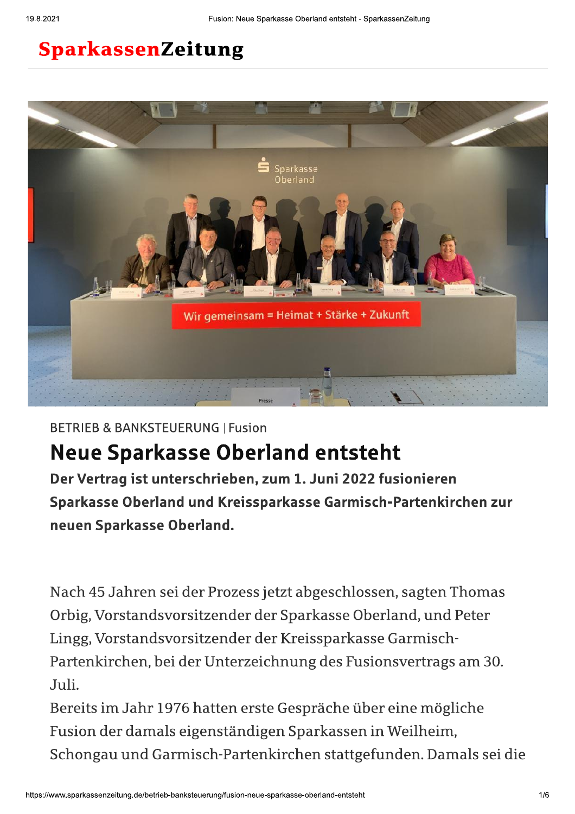## SparkassenZeitung



**BETRIEB & BANKSTEUERUNG | Fusion** 

# **Neue Sparkasse Oberland entsteht**

Der Vertrag ist unterschrieben, zum 1. Juni 2022 fusionieren Sparkasse Oberland und Kreissparkasse Garmisch-Partenkirchen zur neuen Sparkasse Oberland.

Nach 45 Jahren sei der Prozess jetzt abgeschlossen, sagten Thomas Orbig, Vorstandsvorsitzender der Sparkasse Oberland, und Peter Lingg, Vorstandsvorsitzender der Kreissparkasse Garmisch-Partenkirchen, bei der Unterzeichnung des Fusionsvertrags am 30. Juli.

Bereits im Jahr 1976 hatten erste Gespräche über eine mögliche Fusion der damals eigenständigen Sparkassen in Weilheim, Schongau und Garmisch-Partenkirchen stattgefunden. Damals sei die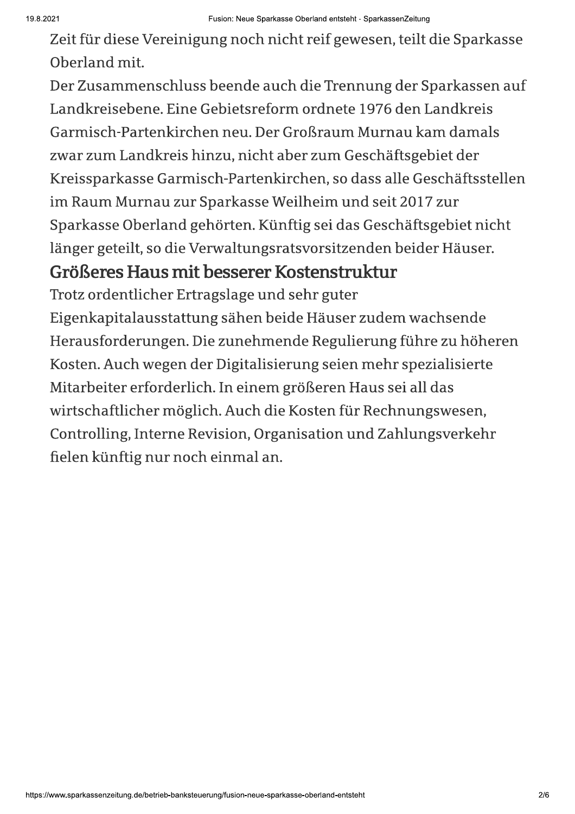Zeit für diese Vereinigung noch nicht reif gewesen, teilt die Sparkasse Oberland mit.

Der Zusammenschluss beende auch die Trennung der Sparkassen auf Landkreisebene. Eine Gebietsreform ordnete 1976 den Landkreis Garmisch-Partenkirchen neu. Der Großraum Murnau kam damals zwar zum Landkreis hinzu, nicht aber zum Geschäftsgebiet der Kreissparkasse Garmisch-Partenkirchen, so dass alle Geschäftsstellen im Raum Murnau zur Sparkasse Weilheim und seit 2017 zur Sparkasse Oberland gehörten. Künftig sei das Geschäftsgebiet nicht länger geteilt, so die Verwaltungsratsvorsitzenden beider Häuser.

### Größeres Haus mit besserer Kostenstruktur

Trotz ordentlicher Ertragslage und sehr guter Eigenkapitalausstattung sähen beide Häuser zudem wachsende Herausforderungen. Die zunehmende Regulierung führe zu höheren Kosten. Auch wegen der Digitalisierung seien mehr spezialisierte Mitarbeiter erforderlich. In einem größeren Haus sei all das wirtschaftlicher möglich. Auch die Kosten für Rechnungswesen, Controlling, Interne Revision, Organisation und Zahlungsverkehr

fielen künftig nur noch einmal an.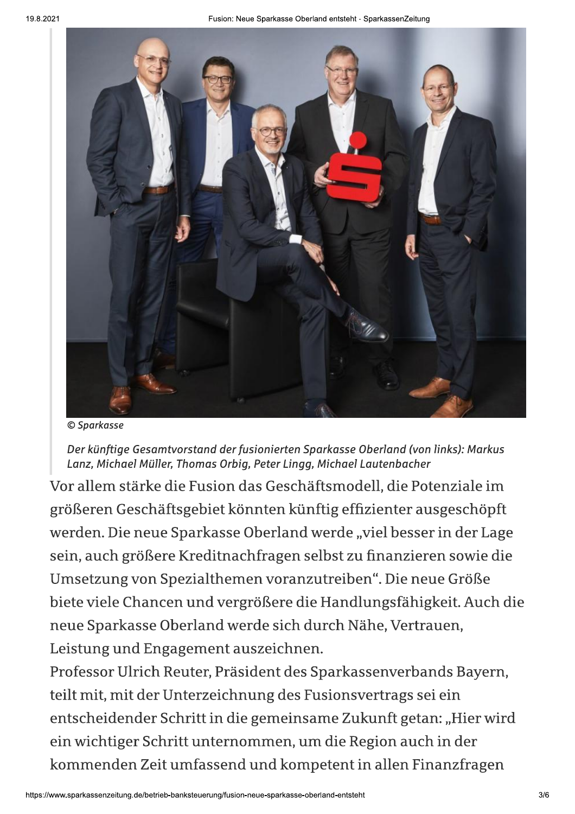

© Sparkasse

Der künftige Gesamtvorstand der fusionierten Sparkasse Oberland (von links): Markus Lanz, Michael Müller, Thomas Orbig, Peter Lingg, Michael Lautenbacher

Vor allem stärke die Fusion das Geschäftsmodell, die Potenziale im größeren Geschäftsgebiet könnten künftig effizienter ausgeschöpft werden. Die neue Sparkasse Oberland werde "viel besser in der Lage sein, auch größere Kreditnachfragen selbst zu finanzieren sowie die Umsetzung von Spezialthemen voranzutreiben". Die neue Größe biete viele Chancen und vergrößere die Handlungsfähigkeit. Auch die neue Sparkasse Oberland werde sich durch Nähe, Vertrauen, Leistung und Engagement auszeichnen.

Professor Ulrich Reuter, Präsident des Sparkassenverbands Bayern, teilt mit, mit der Unterzeichnung des Fusionsvertrags sei ein entscheidender Schritt in die gemeinsame Zukunft getan: "Hier wird ein wichtiger Schritt unternommen, um die Region auch in der kommenden Zeit umfassend und kompetent in allen Finanzfragen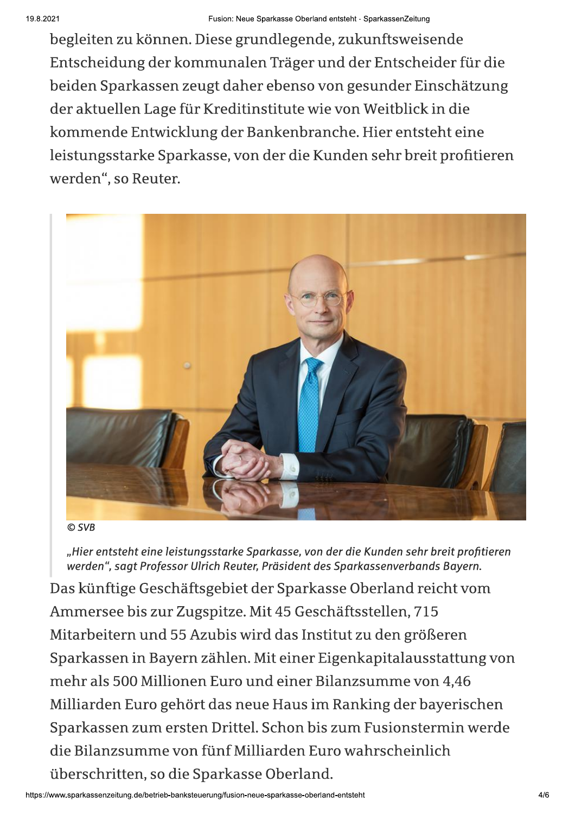begleiten zu können. Diese grundlegende, zukunftsweisende Entscheidung der kommunalen Träger und der Entscheider für die beiden Sparkassen zeugt daher ebenso von gesunder Einschätzung der aktuellen Lage für Kreditinstitute wie von Weitblick in die kommende Entwicklung der Bankenbranche. Hier entsteht eine leistungsstarke Sparkasse, von der die Kunden sehr breit profitieren werden", so Reuter.



© SVB

"Hier entsteht eine leistungsstarke Sparkasse, von der die Kunden sehr breit profitieren werden", sagt Professor Ulrich Reuter, Präsident des Sparkassenverbands Bayern.

Das künftige Geschäftsgebiet der Sparkasse Oberland reicht vom Ammersee bis zur Zugspitze. Mit 45 Geschäftsstellen, 715 Mitarbeitern und 55 Azubis wird das Institut zu den größeren Sparkassen in Bayern zählen. Mit einer Eigenkapitalausstattung von mehr als 500 Millionen Euro und einer Bilanzsumme von 4,46 Milliarden Euro gehört das neue Haus im Ranking der bayerischen Sparkassen zum ersten Drittel. Schon bis zum Fusionstermin werde die Bilanzsumme von fünf Milliarden Euro wahrscheinlich überschritten, so die Sparkasse Oberland.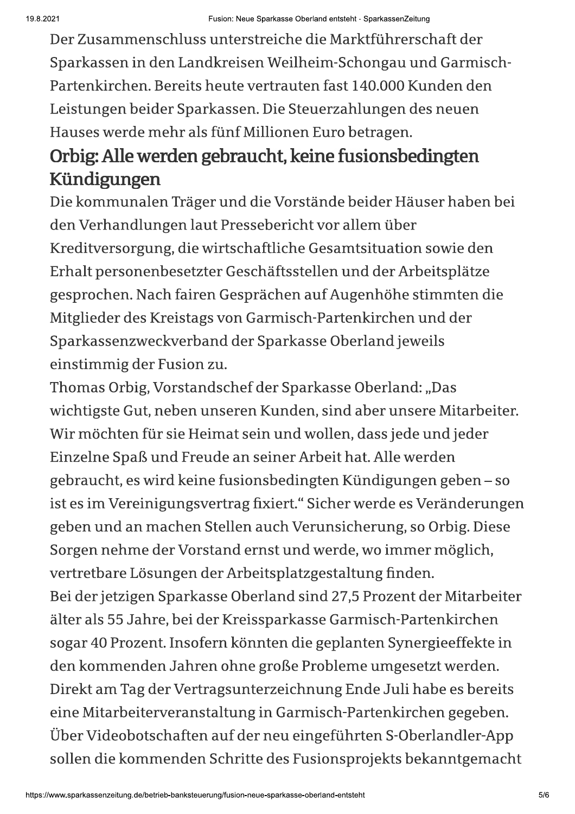Der Zusammenschluss unterstreiche die Marktführerschaft der Sparkassen in den Landkreisen Weilheim-Schongau und Garmisch-Partenkirchen. Bereits heute vertrauten fast 140.000 Kunden den Leistungen beider Sparkassen. Die Steuerzahlungen des neuen Hauses werde mehr als fünf Millionen Euro betragen.

# Orbig: Alle werden gebraucht, keine fusionsbedingten Kündigungen

Die kommunalen Träger und die Vorstände beider Häuser haben bei den Verhandlungen laut Pressebericht vor allem über Kreditversorgung, die wirtschaftliche Gesamtsituation sowie den Erhalt personenbesetzter Geschäftsstellen und der Arbeitsplätze gesprochen. Nach fairen Gesprächen auf Augenhöhe stimmten die Mitglieder des Kreistags von Garmisch-Partenkirchen und der Sparkassenzweckverband der Sparkasse Oberland jeweils einstimmig der Fusion zu.

Thomas Orbig, Vorstandschef der Sparkasse Oberland: "Das wichtigste Gut, neben unseren Kunden, sind aber unsere Mitarbeiter. Wir möchten für sie Heimat sein und wollen, dass jede und jeder Einzelne Spaß und Freude an seiner Arbeit hat. Alle werden gebraucht, es wird keine fusionsbedingten Kündigungen geben - so ist es im Vereinigungsvertrag fixiert." Sicher werde es Veränderungen geben und an machen Stellen auch Verunsicherung, so Orbig. Diese Sorgen nehme der Vorstand ernst und werde, wo immer möglich, vertretbare Lösungen der Arbeitsplatzgestaltung finden. Bei der jetzigen Sparkasse Oberland sind 27,5 Prozent der Mitarbeiter älter als 55 Jahre, bei der Kreissparkasse Garmisch-Partenkirchen sogar 40 Prozent. Insofern könnten die geplanten Synergieeffekte in den kommenden Jahren ohne große Probleme umgesetzt werden. Direkt am Tag der Vertragsunterzeichnung Ende Juli habe es bereits eine Mitarbeiterveranstaltung in Garmisch-Partenkirchen gegeben. Über Videobotschaften auf der neu eingeführten S-Oberlandler-App sollen die kommenden Schritte des Fusionsprojekts bekanntgemacht